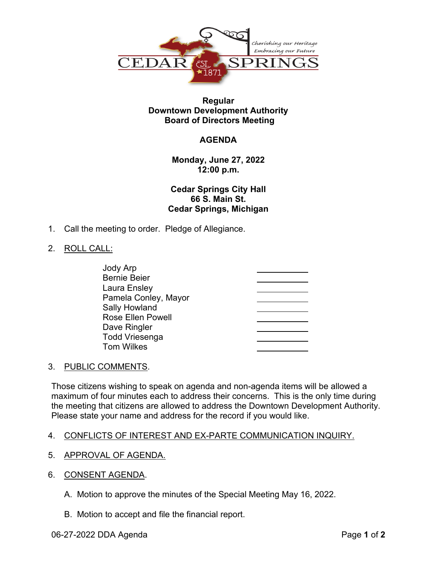

### **Regular Downtown Development Authority Board of Directors Meeting**

# **AGENDA**

**Monday, June 27, 2022 12:00 p.m.**

**Cedar Springs City Hall 66 S. Main St. Cedar Springs, Michigan**

1. Call the meeting to order. Pledge of Allegiance.

### 2. ROLL CALL:

| <b>Jody Arp</b>          |  |
|--------------------------|--|
| <b>Bernie Beier</b>      |  |
| Laura Ensley             |  |
| Pamela Conley, Mayor     |  |
| <b>Sally Howland</b>     |  |
| <b>Rose Ellen Powell</b> |  |
| Dave Ringler             |  |
| <b>Todd Vriesenga</b>    |  |
| <b>Tom Wilkes</b>        |  |

#### 3. PUBLIC COMMENTS.

Those citizens wishing to speak on agenda and non-agenda items will be allowed a maximum of four minutes each to address their concerns. This is the only time during the meeting that citizens are allowed to address the Downtown Development Authority. Please state your name and address for the record if you would like.

# 4. CONFLICTS OF INTEREST AND EX-PARTE COMMUNICATION INQUIRY.

- 5. APPROVAL OF AGENDA.
- 6. CONSENT AGENDA.
	- A. Motion to approve the minutes of the Special Meeting May 16, 2022.
	- B. Motion to accept and file the financial report.